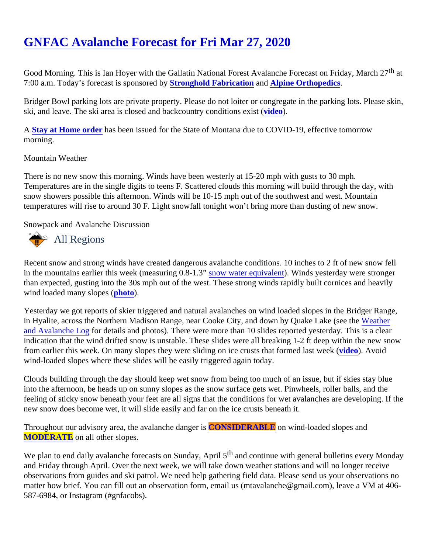# [GNFAC Avalanche Forecast for Fri Mar 27, 2020](https://www.mtavalanche.com/forecast/20/03/27)

Good Morning. This is Ian Hoyer with the Gallatin National Forest Avalanche Forecast on Friday, March 27 7:00 a.m. Today's forecast is sponsored Stronghold Fabrication and [Alpine Orthopedics](https://alpineorthopedics.com/).

Bridger Bowl parking lots are private property. Please do not loiter or congregate in the parking lots. Please s ski, and leave. The ski area is closed and backcountry condition[s exist](https://youtu.be/EUtgi0g1l9g)s

A Stay at Home orderhas been issued for the State of Montana due to COVID-19, effective tomorrow morning.

#### Mountain Weather

There is no new snow this morning. Winds have been westerly at 15-20 mph with gusts to 30 mph. Temperatures are in the single digits to teens F. Scattered clouds this morning will build through the day, with snow showers possible this afternoon. Winds will be 10-15 mph out of the southwest and west. Mountain temperatures will rise to around 30 F. Light snowfall tonight won't bring more than dusting of new snow.

#### Snowpack and Avalanche Discussion

## All Regions

Recent snow and strong winds have created dangerous avalanche conditions. 10 inches to 2 ft of new snow for in the mountains earlier this week (measuring 0.8-4now water equivalent Winds yesterday were stronger than expected, gusting into the 30s mph out of the west. These strong winds rapidly built cornices and heavily wind loaded many slopeshoto).

Yesterday we got reports of skier triggered and natural avalanches on wind loaded slopes in the Bridger Range, in Hyalite, across the Northern Madison Range, near Cooke City, and down by Quake Lak[e \(see th](https://www.mtavalanche.com/weather/wx-avalanche-log)e [and Avalanche Lo](https://www.mtavalanche.com/weather/wx-avalanche-log)gordetails and photos). There were more than 10 slides reported yesterday. This is a clear indication that the wind drifted snow is unstable. These slides were all breaking 1-2 ft deep within the new sno from earlier this week. On many slopes they were sliding on ice crusts that formed lastided & Avoid wind-loaded slopes where these slides will be easily triggered again today.

Clouds building through the day should keep wet snow from being too much of an issue, but if skies stay blue into the afternoon, be heads up on sunny slopes as the snow surface gets wet. Pinwheels, roller balls, and th feeling of sticky snow beneath your feet are all signs that the conditions for wet avalanches are developing. If new snow does become wet, it will slide easily and far on the ice crusts beneath it.

Throughout our advisory area, the avalanche danCONSIDERABLE on wind-loaded slopes and [MODERATE](https://www.mtavalanche.com/images/DangerScale-small.jpg) on all other slopes.

We plan to end daily avalanche forecasts on Sunday, Aptil 5 continue with general bulletins every Monday and Friday through April. Over the next week, we will take down weather stations and will no longer receive observations from guides and ski patrol. We need help gathering field data. Please send us your observations matter how brief. You can fill out an observation form, email us (mtavalanche@gmail.com), leave a VM at 406 587-6984, or Instagram (#gnfacobs).